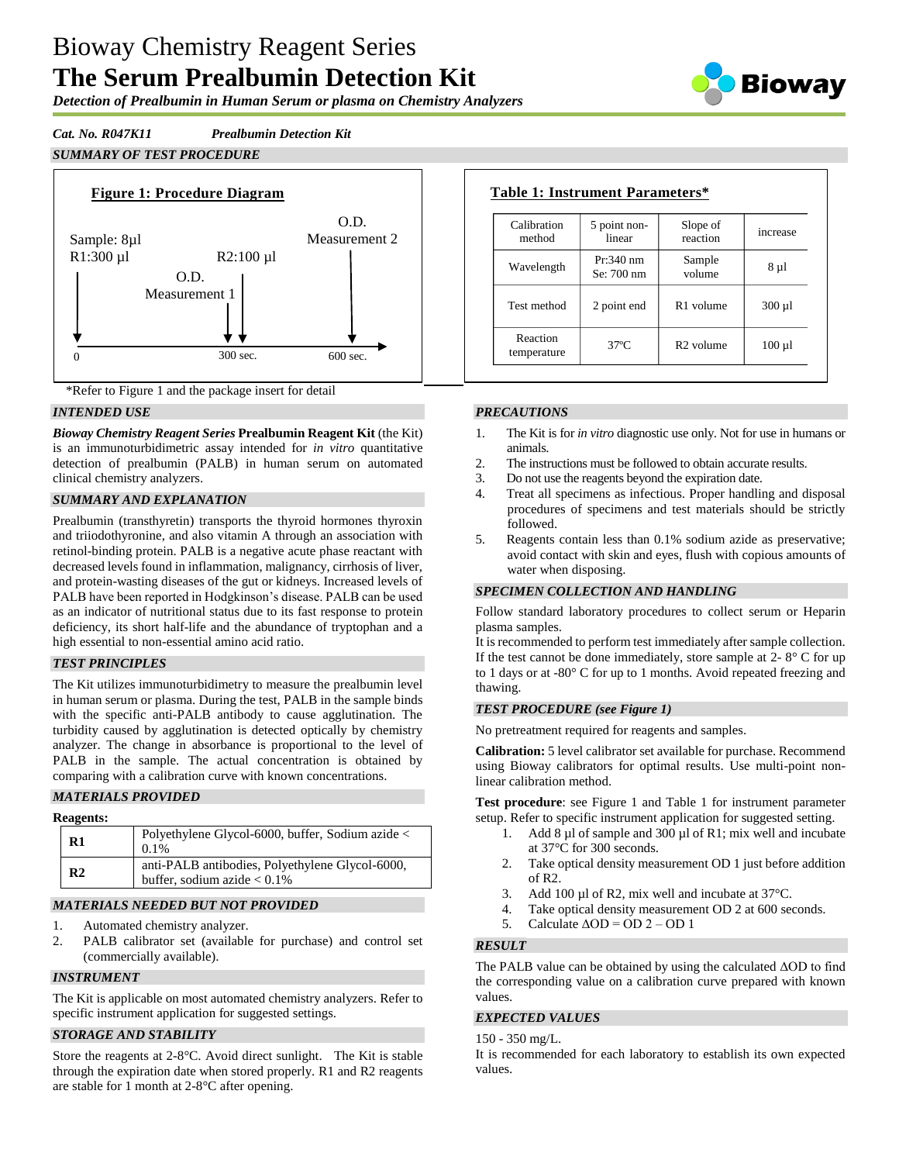# Bioway Chemistry Reagent Series **The Serum Prealbumin Detection Kit**

*Detection of Prealbumin in Human Serum or plasma on Chemistry Analyzers*

Biowav

*Cat. No. R047K11 Prealbumin Detection Kit*

*SUMMARY OF TEST PROCEDURE*





# *INTENDED USE*

*Bioway Chemistry Reagent Series* **Prealbumin Reagent Kit** (the Kit) is an immunoturbidimetric assay intended for *in vitro* quantitative detection of prealbumin (PALB) in human serum on automated clinical chemistry analyzers.

# *SUMMARY AND EXPLANATION*

Prealbumin (transthyretin) transports the thyroid hormones thyroxin and triiodothyronine, and also vitamin A through an association with retinol-binding protein. PALB is a negative acute phase reactant with decreased levels found in inflammation, malignancy, cirrhosis of liver, and protein-wasting diseases of the gut or kidneys. Increased levels of PALB have been reported in Hodgkinson's disease. PALB can be used as an indicator of nutritional status due to its fast response to protein deficiency, its short half-life and the abundance of tryptophan and a high essential to non-essential amino acid ratio.

## *TEST PRINCIPLES*

The Kit utilizes immunoturbidimetry to measure the prealbumin level in human serum or plasma. During the test, PALB in the sample binds with the specific anti-PALB antibody to cause agglutination. The turbidity caused by agglutination is detected optically by chemistry analyzer. The change in absorbance is proportional to the level of PALB in the sample. The actual concentration is obtained by comparing with a calibration curve with known concentrations.

# *MATERIALS PROVIDED*

| <b>Reagents:</b> |                                                                                   |
|------------------|-----------------------------------------------------------------------------------|
| $\mathbf{R}1$    | Polyethylene Glycol-6000, buffer, Sodium azide <<br>$0.1\%$                       |
| R <sub>2</sub>   | anti-PALB antibodies, Polyethylene Glycol-6000,<br>buffer, sodium azide $< 0.1\%$ |

# *MATERIALS NEEDED BUT NOT PROVIDED*

- 1. Automated chemistry analyzer.
- 2. PALB calibrator set (available for purchase) and control set (commercially available).

## *INSTRUMENT*

The Kit is applicable on most automated chemistry analyzers. Refer to specific instrument application for suggested settings.

# *STORAGE AND STABILITY*

Store the reagents at 2-8°C. Avoid direct sunlight. The Kit is stable through the expiration date when stored properly. R1 and R2 reagents are stable for 1 month at 2-8°C after opening.

| Calibration<br>method   | 5 point non-<br>linear    | Slope of<br>reaction  | increase    |
|-------------------------|---------------------------|-----------------------|-------------|
| Wavelength              | $Pr:340$ nm<br>Se: 700 nm | Sample<br>volume      | 8 µ1        |
| Test method             | 2 point end               | R <sub>1</sub> volume | $300 \mu l$ |
| Reaction<br>temperature | $37^\circ$ C              | $R2$ volume           | $100 \mu l$ |

# *PRECAUTIONS*

- 1. The Kit is for *in vitro* diagnostic use only. Not for use in humans or animals.
- 2. The instructions must be followed to obtain accurate results.<br>3. Do not use the reagents beyond the expiration date.
- 3. Do not use the reagents beyond the expiration date.
- 4. Treat all specimens as infectious. Proper handling and disposal procedures of specimens and test materials should be strictly followed.
- 5. Reagents contain less than 0.1% sodium azide as preservative; avoid contact with skin and eyes, flush with copious amounts of water when disposing.

# *SPECIMEN COLLECTION AND HANDLING*

Follow standard laboratory procedures to collect serum or Heparin plasma samples.

It is recommended to perform test immediately after sample collection. If the test cannot be done immediately, store sample at  $2 - 8^\circ$  C for up to 1 days or at -80° C for up to 1 months. Avoid repeated freezing and thawing.

## *TEST PROCEDURE (see Figure 1)*

No pretreatment required for reagents and samples.

**Calibration:** 5 level calibrator set available for purchase. Recommend using Bioway calibrators for optimal results. Use multi-point nonlinear calibration method.

**Test procedure**: see Figure 1 and Table 1 for instrument parameter setup. Refer to specific instrument application for suggested setting.

- 1. Add 8 µl of sample and 300 µl of R1; mix well and incubate at 37°C for 300 seconds.
- 2. Take optical density measurement OD 1 just before addition of R2.
- 3. Add 100 µl of R2, mix well and incubate at 37 °C.
- 4. Take optical density measurement OD 2 at 600 seconds.
- 5. Calculate  $\triangle$ OD = OD 2 OD 1

# *RESULT*

The PALB value can be obtained by using the calculated ΔOD to find the corresponding value on a calibration curve prepared with known values.

## *EXPECTED VALUES*

150 - 350 mg/L.

It is recommended for each laboratory to establish its own expected values.